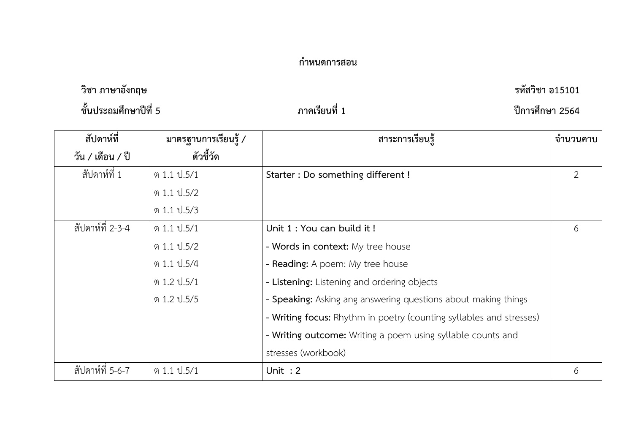## **กำหนดการสอน**

**วิชา ภาษาอังกฤษ รหัสวิชา อ15101**

**ชั้นประถมศึกษาปีที่ 5 ภาคเรียนที่ 1 ปีการศึกษา 2564**

| สัปดาห์ที่       | มาตรฐานการเรียนรู้ / | สาระการเรียนรู้                                                     | จำนวนคาบ       |
|------------------|----------------------|---------------------------------------------------------------------|----------------|
| วัน / เดือน / ปี | ตัวชี้วัด            |                                                                     |                |
| สัปดาห์ที่ 1     | ต 1.1 ป.5/1          | Starter : Do something different !                                  | $\overline{2}$ |
|                  | ต 1.1 ป.5/2          |                                                                     |                |
|                  | ต 1.1 ป.5/3          |                                                                     |                |
| สัปดาห์ที่ 2-3-4 | ต 1.1 ป.5/1          | Unit 1 : You can build it !                                         | 6              |
|                  | ต 1.1 ป.5/2          | - Words in context: My tree house                                   |                |
|                  | ต 1.1 ป.5/4          | - Reading: A poem: My tree house                                    |                |
|                  | ต 1.2 ป.5/1          | - Listening: Listening and ordering objects                         |                |
|                  | ต 1.2 ป.5/5          | - Speaking: Asking ang answering questions about making things      |                |
|                  |                      | - Writing focus: Rhythm in poetry (counting syllables and stresses) |                |
|                  |                      | - Writing outcome: Writing a poem using syllable counts and         |                |
|                  |                      | stresses (workbook)                                                 |                |
| สัปดาห์ที่ 5-6-7 | ต 1.1 ป.5/1          | Unit: $2$                                                           | 6              |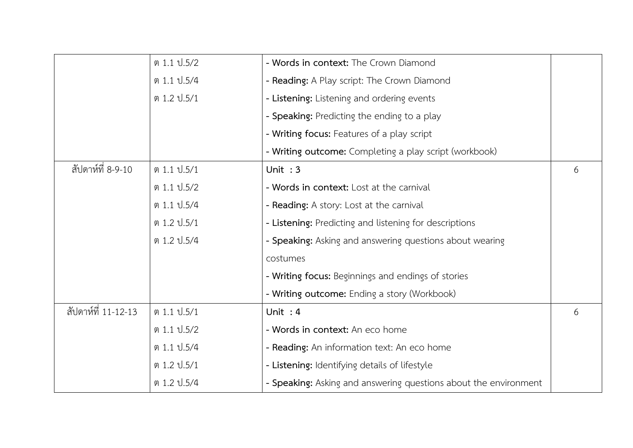|                     | ต 1.1 ป.5/2 | - Words in context: The Crown Diamond                            |   |
|---------------------|-------------|------------------------------------------------------------------|---|
|                     | ต 1.1 ป.5/4 | - Reading: A Play script: The Crown Diamond                      |   |
|                     | ต 1.2 ป.5/1 | - Listening: Listening and ordering events                       |   |
|                     |             | - Speaking: Predicting the ending to a play                      |   |
|                     |             | - Writing focus: Features of a play script                       |   |
|                     |             | - Writing outcome: Completing a play script (workbook)           |   |
| สัปดาห์ที่ 8-9-10   | ต 1.1 ป.5/1 | Unit: $3$                                                        | 6 |
|                     | ต 1.1 ป.5/2 | - Words in context: Lost at the carnival                         |   |
|                     | ต 1.1 ป.5/4 | - Reading: A story: Lost at the carnival                         |   |
|                     | ต 1.2 ป.5/1 | - Listening: Predicting and listening for descriptions           |   |
|                     | ต 1.2 ป.5/4 | - Speaking: Asking and answering questions about wearing         |   |
|                     |             | costumes                                                         |   |
|                     |             | - Writing focus: Beginnings and endings of stories               |   |
|                     |             | - Writing outcome: Ending a story (Workbook)                     |   |
| สัปดาห์ที่ 11-12-13 | ต 1.1 ป.5/1 | Unit: $4$                                                        | 6 |
|                     | ต 1.1 ป.5/2 | - Words in context: An eco home                                  |   |
|                     | ต 1.1 ป.5/4 | - Reading: An information text: An eco home                      |   |
|                     | ต 1.2 ป.5/1 | - Listening: Identifying details of lifestyle                    |   |
|                     | ต 1.2 ป.5/4 | - Speaking: Asking and answering questions about the environment |   |